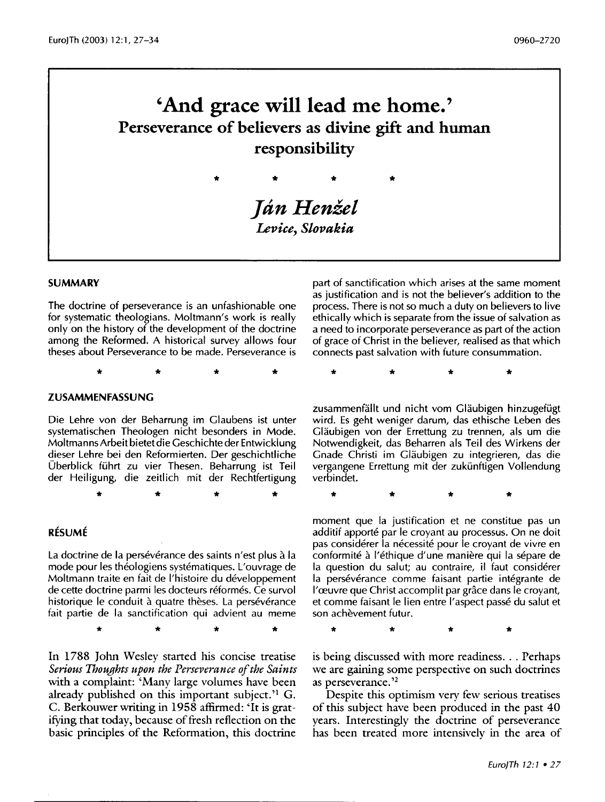# **'And grace will lead me home.' Perseverance of believers as divine gift and human responsibility**

*Ján Henžel Levice, Slovakia* 

\* \* \* \*

#### **SUMMARY**

The doctrine of perseverance is an unfashionable one for systematic theologians. Moltmann's work is really only on the history of the development of the doctrine among the Reformed. A historical survey allows four theses about Perseverance to be made. Perseverance is

\* \* \* \*

#### **ZUSAMMENFASSUNG**

Die Lehre von der Beharrung im Glaubens ist unter systematischen Theologen nicht besonders in Mode. Moltmanns Arbeit bietet die Geschichte der Entwicklung dieser Lehre bei den Reformierten. Der geschichtliche Überblick führt zu vier Thesen. Beharrung ist Teil der Heiligung, die zeitlich mit der Rechtfertigung

\* \* \* \*

#### **RESUME**

La doctrine de la persévérance des saints n'est plus à la mode pour les theologiens systematiques. L'ouvrage de Moltmann traite en fait de l'histoire du developpement de cette doctrine parmi les docteurs reformes. Ce survol historique le conduit à quatre thèses. La persévérance fait partie de la sanctification qui advient au meme

\* \* \* \*

In 1788 John Wesley started his concise treatise *Serious Thoughts upon the Perseverance of the Saints*  with a complaint: 'Many large volumes have been already published on this important subject.<sup>'1</sup> G. C. Berkouwer writing in 1958 affirmed: 'It is gratifying that today, because of fresh reflection on the basic principles of the Reformation, this doctrine

part of sanctification which arises at the same moment as justification and is not the believer's addition to the process. There is not so much a duty on believers to live ethically which is separate from the issue of salvation as a need to incorporate perseverance as part of the action of grace of Christ in the believer, realised as that which connects past salvation with future consummation.

\* \* \* \*

zusammenfällt und nicht vom Gläubigen hinzugefügt wird. Es geht weniger darum, das ethische Leben des Gläubigen von der Errettung zu trennen, als um die Notwendigkeit, das Beharren als Teil des Wirkens der Gnade Christi im Glaubigen zu integrieren, das die vergangene Errettung mit der zukünftigen Vollendung verbindet.

\* \* \* \*

moment que la justification et ne constitue pas un additif apporté par le croyant au processus. On ne doit pas considérer la nécessité pour le croyant de vivre en conformité à l'éthique d'une manière qui la sépare de la question du salut; au contraire, il faut considérer la persévérance comme faisant partie intégrante de l'œuvre que Christ accomplit par grâce dans le croyant, et comme faisant le lien entre I' aspect passe du salut et son achevement futur.

\* \* \* \*

is being discussed with more readiness. . . Perhaps we are gaining some perspective on such doctrines as perseverance. ' 2

Despite this optimism very few serious treatises of this subject have been produced in the past 40 years. Interestingly the doctrine of perseverance has been treated more intensively in the area of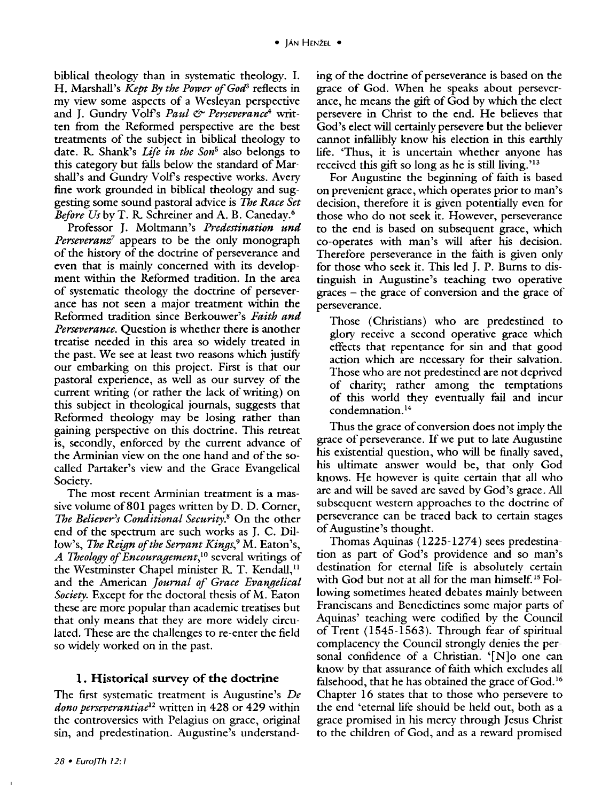biblical theology than in systematic theology. I. H. Marshall's *Kept By the Power of God<sup>3</sup>* reflects in my view some aspects of a Wesleyan perspective and J. Gundry Volf's *Paul & Perseverance*<sup>4</sup> written from the Reformed perspective are the best treatments of the subject in biblical theology to date. R. Shank's *Life in the Son5* also belongs to this category but falls below the standard of Marshall's and Gundry Volf's respective works. Avery fine work grounded in biblical theology and suggesting some sound pastoral advice is *The Race Set Before Us* by T. R. Schreiner and A. B. Caneday.6

Professor J. Moltmann's *Predestination und Perseveranz7* appears to be the only monograph of the history of the doctrine of perseverance and even that is mainly concerned with its development within the Reformed tradition. In the area of systematic theology the doctrine of perseverance has not seen a major treatment within the Reformed tradition since Berkouwer's *Faith and Perseverance.* Question is whether there is another treatise needed in this area so widely treated in the past. We see at least two reasons which justify our embarking on this project. First is that our pastoral experience, as well as our survey of the current writing (or rather the lack of writing) on this subject in theological journals, suggests that Reformed theology may be losing rather than gaining perspective on this doctrine. This retreat is, secondly, enforced by the current advance of the Arminian view on the one hand and of the socalled Partaker's view and the Grace Evangelical Society.

The most recent Arminian treatment is a massive volume of 801 pages written by D. D. Corner, *The Believer's Conditional Security.*<sup>8</sup> On the other end of the spectrum are such works as J. C. Dillow's, *The Reign of the Servant Kings*,<sup>9</sup> M. Eaton's, *A Theology of Encouragement,* 10 several writings of the Westminster Chapel minister R. T. Kendall,<sup>11</sup> and the American *Journal of Grace Evangelical Society.* Except for the doctoral thesis of M. Eaton these are more popular than academic treatises but that only means that they are more widely circulated. These are the challenges to re-enter the field so widely worked on in the past.

# **1. Historical** survey of the **doctrine**

The first systematic treatment is Augustine's *De dono perseverantiae*<sup>12</sup>written in 428 or 429 within the controversies with Pelagius on grace, original sin, and predestination. Augustine's understanding of the doctrine of perseverance is based on the grace of God. When he speaks about perseverance, he means the gift of God by which the elect persevere in Christ to the end. He believes that God's elect will certainly persevere but the believer cannot infallibly know his election in this earthly life. 'Thus, it is uncertain whether anyone has received this gift so long as he is still living.<sup>'13</sup>

For Augustine the beginning of faith is based on prevenient grace, which operates prior to man's decision, therefore it is given potentially even for those who do not seek it. However, perseverance to the end is based on subsequent grace, which co-operates with man's will after his decision. Therefore perseverance in the faith is given only for those who seek it. This led J. P. Burns to distinguish in Augustine's teaching two operative graces - the grace of conversion and the grace of perseverance.

Those (Christians) who are predestined to glory receive a second operative grace which effects that repentance for sin and that good action which are necessary for their salvation. Those who are not predestined are not deprived of charity; rather among the temptations of this world they eventually fail and incur condemnation. <sup>14</sup>

Thus the grace of conversion does not imply the grace of perseverance. If we put to late Augustine his existential question, who will be finally saved, his ultimate answer would be, that only God knows. He however is quite certain that all who are and will be saved are saved by God's grace. All subsequent western approaches to the doctrine of perseverance can be traced back to certain stages of Augustine's thought.

Thomas Aquinas  $(1225-1274)$  sees predestination as part of God's providence and so man's destination for eternal life is absolutely certain with God but not at all for the man himself.<sup>15</sup> Following sometimes heated debates mainly between Franciscans and Benedictines some major parts of Aquinas' teaching were codified by the Council of Trent (1545-1563). Through fear of spiritual complacency the Council strongly denies the personal confidence of a Christian. '[N]o one can know by that assurance of faith which excludes all falsehood, that he has obtained the grace of  $God.^{16}$ Chapter 16 states that to those who persevere to the end 'eternal life should be held out, both as a grace promised in his mercy through Jesus Christ to the children of God, and as a reward promised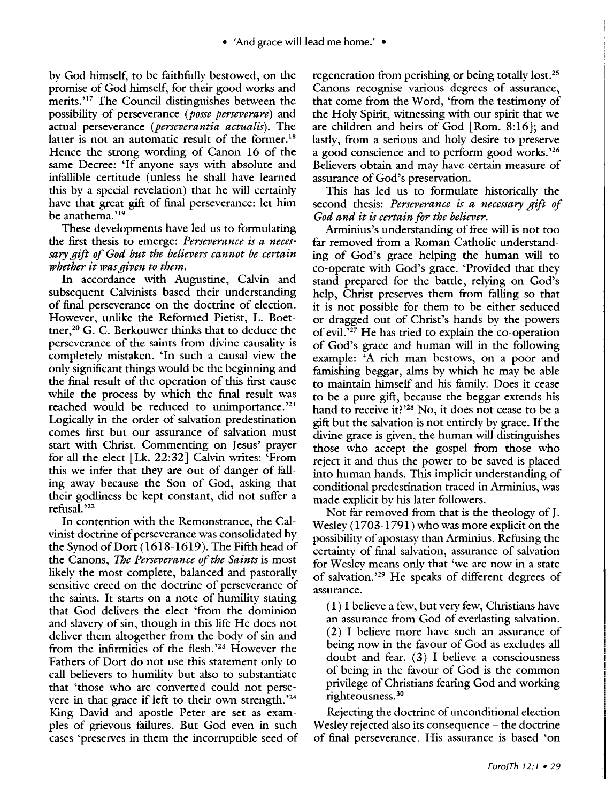• 'And grace will lead me home.' •

by God himself, to be faithfully bestowed, on the promise of God himself, for their good works and merits.<sup>'17</sup> The Council distinguishes between the possibility of perseverance *(posse perseverare)* and actual perseverance *(perseverantia actualis).* The latter is not an automatic result of the former.<sup>18</sup> Hence the strong wording of Canon 16 of the same Decree: 'If anyone says with absolute and infallible certitude (unless he shall have learned this by a special revelation) that he will certainly have that great gift of final perseverance: let him be anathema. ' 19

These developments have led us to formulating the first thesis to emerge: *Perseverance is a necessary gift of God but the believers cannot be certain whether it was given to them.* 

In accordance with Augustine, Calvin and subsequent Calvinists based their understanding of final perseverance on the doctrine of election. However, unlike the Reformed Pietist, L. Boettner,<sup>20</sup> G. C. Berkouwer thinks that to deduce the perseverance of the saints from divine causality is completely mistaken. 'In such a causal view the only significant things would be the beginning and the final result of the operation of this first cause while the process by which the final result was reached would be reduced to unimportance.<sup>'21</sup> Logically in the order of salvation predestination comes first but our assurance of salvation must start with Christ. Commenting on Jesus' prayer for all the elect [Lk. 22:32] Calvin writes: 'From this we infer that they are out of danger of falling away because the Son of God, asking that their godliness be kept constant, did not suffer a refusal. ' 22

In contention with the Remonstrance, the Calvinist doctrine of perseverance was consolidated by the Synod of Dort (1618-1619). The Fifth head of the Canons, *The Perseverance of the Saints* is most likely the most complete, balanced and pastorally sensitive creed on the doctrine of perseverance of the saints. It starts on a note of humility stating that God delivers the elect 'from the dominion and slavery of sin, though in this life He does not deliver them altogether from the body of sin and from the infirmities of the flesh.<sup>223</sup> However the Fathers of Dort do not use this statement only to call believers to humility but also to substantiate that 'those who are converted could not persevere in that grace if left to their own strength.<sup>'24</sup> King David and apostle Peter are set as examples of grievous failures. But God even in such cases 'preserves in them the incorruptible seed of

regeneration from perishing or being totally lost.25 Canons recognise various degrees of assurance, that come from the Word, 'from the testimony of the Holy Spirit, witnessing with our spirit that we are children and heirs of God [Rom. 8:16]; and lastly, from a serious and holy desire to preserve a good conscience and to perform good works. ' 26 Believers obtain and may have certain measure of assurance of God's preservation.

This has led us to formulate historically the second thesis: *Perseverance is a necessary gift of God and it is certain for the believer.* 

Arminius's understanding of free will is not too far removed from a Roman Catholic understanding of God's grace helping the human will to co-operate with God's grace. 'Provided that they stand prepared for the battle, relying on God's help, Christ preserves them from falling so that it is not possible for them to be either seduced or dragged out of Christ's hands by the powers of evil. 127 He has tried to explain the co-operation of God's grace and human will in the following example: 'A rich man bestows, on a poor and famishing beggar, alms by which he may be able to maintain himself and his family. Does it cease to be a pure gift, because the beggar extends his hand to receive it?'<sup>28</sup> No, it does not cease to be a gift but the salvation is not entirely by grace. If the divine grace is given, the human will distinguishes those who accept the gospel from those who reject it and thus the power to be saved is placed into human hands. This implicit understanding of conditional predestination traced in Arminius, was made explicit by his later followers.

Not far removed from that is the theology of J. Wesley (1703-1791) who was more explicit on the possibility of apostasy than Arminius. Refusing the certainty of final salvation, assurance of salvation for Wesley means only that 'we are now in a state of salvation.<sup>29</sup> He speaks of different degrees of assurance.

 $(1)$  I believe a few, but very few, Christians have an assurance from God of everlasting salvation. (2) I believe more have such an assurance of being now in the favour of God as excludes all doubt and fear. (3) I believe a consciousness of being in the favour of God is the common privilege of Christians fearing God and working righteousness. 30

Rejecting the doctrine of unconditional election Wesley rejected also its consequence – the doctrine of final perseverance. His assurance is based 'on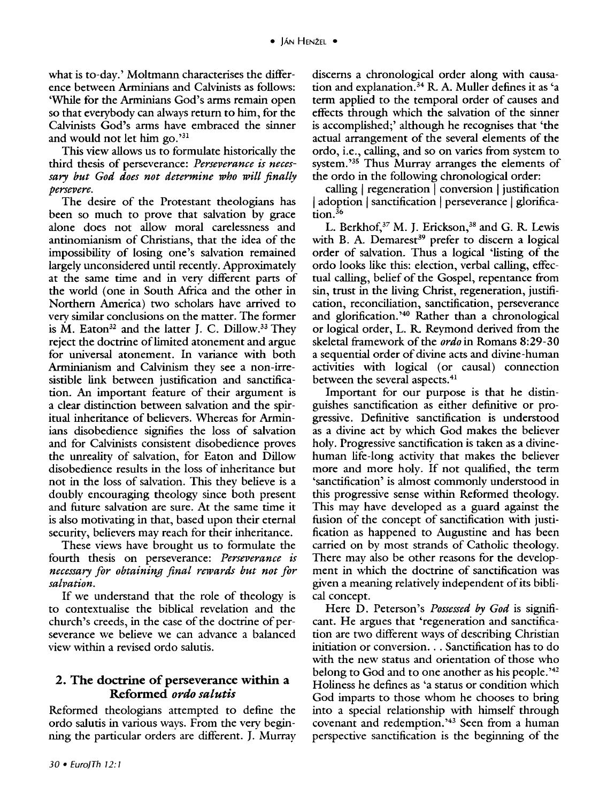what is to-day.' Moltmann characterises the difference between Arminians and Calvinists as follows: 'While for the Arminians God's arms remain open so that everybody can always return to him, for the Calvinists God's arms have embraced the sinner and would not let him go.'31

This view allows us to formulate historically the third thesis of perseverance: *Perseverance is necessary but God does not determine who will finally persevere.* 

The desire of the Protestant theologians has been so much to prove that salvation by grace alone does not allow moral carelessness and antinomianism of Christians, that the idea of the impossibility of losing one's salvation remained largely unconsidered until recently. Approximately at the same time and in very different parts of the world (one in South Mrica and the other in Northern America) two scholars have arrived to verv similar conclusions on the matter. The former is  $M$ . Eaton<sup>32</sup> and the latter J. C. Dillow.<sup>33</sup> They reject the doctrine of limited atonement and argue for universal atonement. In variance with both Arminianism and Calvinism they see a non-irresistible link between justification and sanctification. An important feature of their argument is a dear distinction between salvation and the spiritual inheritance of believers. Whereas for Arminians disobedience signifies the loss of salvation and for Calvinists consistent disobedience proves the unreality of salvation, for Eaton and Dillow disobedience results in the loss of inheritance but not in the loss of salvation. This they believe is a doubly encouraging theology since both present and future salvation are sure. At the same time it is also motivating in that, based upon their eternal security, believers may reach for their inheritance.

These views have brought us to formulate the fourth thesis on perseverance: *Perseverance is necessary for obtaining final rewards but not for salvation.* 

If we understand that the role of theology is to contextualise the biblical revelation and the church's creeds, in the case of the doctrine of perseverance we believe we can advance a balanced view within a revised ordo salutis.

# 2. The doctrine of perseverance within a Reformed *ordo salutis*

Reformed theologians attempted to define the ordo salutis in various ways. From the very beginning the particular orders are different. J. Murray discerns a chronological order along with causation and explanation. 34 R. A. Muller defines it as 'a term applied to the temporal order of causes and effects through which the salvation of the sinner is accomplished;' although he recognises that 'the actual arrangement of the several elements of the ordo, i.e., calling, and so on varies from system to system.<sup>235</sup> Thus Murray arranges the elements of the ordo in the following chronological order:

calling  $|$  regeneration  $|$  conversion  $|$  justification | adoption | sanctification | perseverance | glorification.<sup>36</sup>

L. Berkhof,<sup>37</sup> M. J. Erickson,<sup>38</sup> and G. R. Lewis with B. A. Demarest<sup>39</sup> prefer to discern a logical order of salvation. Thus a logical 'listing of the ordo looks like this: election, verbal calling, effectual calling, belief of the Gospel, repentance from sin, trust in the living Christ, regeneration, justification, reconciliation, sanctification, perseverance and glorification. ' 40 Rather than a chronological or logical order, L. R. Reymond derived from the skeletal framework of the *ordo* in Romans 8:29-30 a sequential order of divine acts and divine-human activities with logical (or causal) connection between the several aspects.<sup>41</sup>

Important for our purpose is that he distinguishes sanctification as either definitive or progressive. Definitive sanctification is understood as a divine act by which God makes the believer holy. Progressive sanctification is taken as a divinehuman life-long activity that makes the believer more and more holy. If not qualified, the term 'sanctification' is almost commonly understood in this progressive sense within Reformed theology. This may have developed as a guard against the fusion of the concept of sanctification with justification as happened to Augustine and has been carried on by most strands of Catholic theology. There may also be other reasons for the development in which the doctrine of sanctification was given a meaning relatively independent of its biblical concept.

Here D. Peterson's *Possessed by God* is significant. He argues that 'regeneration and sanctification are two different ways of describing Christian initiation or conversion ... Sanctification has to do with the new status and orientation of those who belong to God and to one another as his people.<sup>242</sup> Holiness he defines as 'a status or condition which God imparts to those whom he chooses to bring into a special relationship with himself through covenant and redemption. ' 43 Seen from a human perspective sanctification is the beginning of the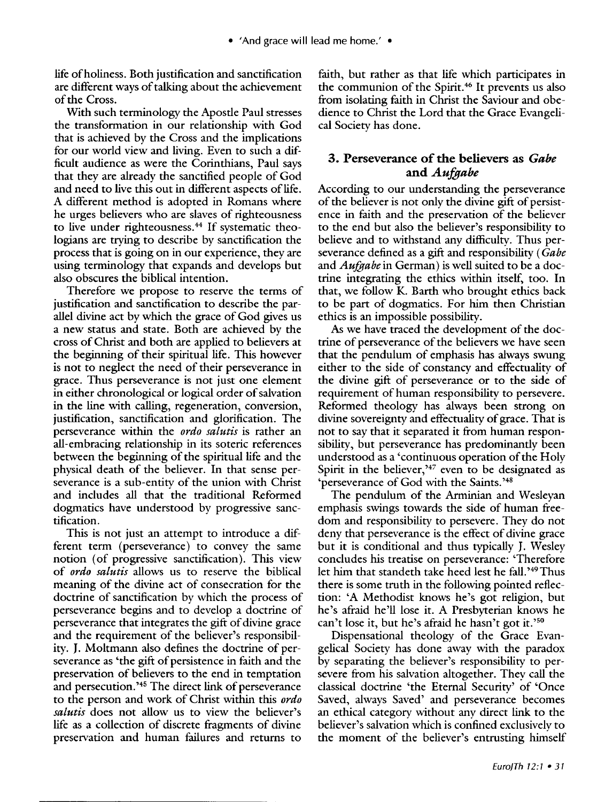life of holiness. Both justification and sanctification are different ways of talking about the achievement of the Cross.

With such terminology the Apostle Paul stresses the transformation in our relationship with God that is achieved by the Cross and the implications for our world view and living. Even to such a difficult audience as were the Corinthians, Paul says that they are already the sanctified people of God and need to live this out in different aspects of life. A different method is adopted in Romans where he urges believers who are slaves of righteousness to live under righteousness.<sup>44</sup> If systematic theologians are trying to describe by sanctification the process that is going on in our experience, they are using terminology that expands and develops but also obscures the biblical intention.

Therefore we propose to reserve the terms of justification and sanctification to describe the parallel divine act by which the grace of God gives us a new status and state. Both are achieved by the cross of Christ and both are applied to believers at the beginning of their spiritual life. This however is not to neglect the need of their perseverance in grace. Thus perseverance is not just one element in either chronological or logical order of salvation in the line with calling, regeneration, conversion, justification, sanctification and glorification. The perseverance within the *ordo salutis* is rather an all-embracing relationship in its soteric references between the beginning of the spiritual life and the physical death of the believer. In that sense perseverance is a sub-entity of the union with Christ and includes all that the traditional Reformed dogmatics have understood by progressive sanctification.

This is not just an attempt to introduce a different term (perseverance) to convey the same notion (of progressive sanctification). This view of *ordo salutis* allows us to reserve the biblical meaning of the divine act of consecration for the doctrine of sanctification by which the process of perseverance begins and to develop a doctrine of perseverance that integrates the gift of divine grace and the requirement of the believer's responsibility. J. Moltmann also defines the doctrine of perseverance as 'the gift of persistence in faith and the preservation of believers to the end in temptation and persecution. ' 45 The direct link of perseverance to the person and work of Christ within this *ordo salutis* does not allow us to view the believer's life as a collection of discrete fragments of divine preservation and human failures and returns to

faith, but rather as that life which participates in the communion of the Spirit. 46 It prevents us also from isolating faith in Christ the Saviour and obedience to Christ the Lord that the Grace Evangelical Society has done.

## 3. Perseverance of the believers as *Gabe andAufgabe*

According to our understanding the perseverance of the believer is not only the divine gift of persistence in faith and the preservation of the believer to the end but also the believer's responsibility to believe and to withstand any difficulty. Thus perseverance defined as a gift and responsibility ( *Gabe*  and *Aufgabe* in German) is well suited to be a doctrine integrating the ethics within itself, too. In that, we follow K. Barth who brought ethics back to be part of dogmatics. For him then Christian ethics is an impossible possibility.

As we have traced the development of the doctrine of perseverance of the believers we have seen that the pendulum of emphasis has always swung either to the side of constancy and effectuality of the divine gift of perseverance or to the side of requirement of human responsibility to persevere. Reformed theology has always been strong on divine sovereignty and effectuality of grace. That is not to say that it separated it from human responsibility, but perseverance has predominantly been understood as a 'continuous operation of the Holy Spirit in the believer,<sup>347</sup> even to be designated as 'perseverance of God with the Saints.'<sup>48</sup>

The pendulum of the Arminian and Wesleyan emphasis swings towards the side of human freedom and responsibility to persevere. They do not deny that perseverance is the effect of divine grace but it is conditional and thus typically J. Wesley concludes his treatise on perseverance: 'Therefore let him that standeth take heed lest he fall. ' 49 Thus there is some truth in the following pointed reflection: 'A Methodist knows he's got religion, but he's afraid he'll lose it. A Presbyterian knows he can't lose it, but he's afraid he hasn't got it.' $50$ 

Dispensational theology of the Grace Evangelical Society has done away with the paradox by separating the believer's responsibility to persevere from his salvation altogether. They call the classical doctrine 'the Eternal Security' of 'Once Saved, always Saved' and perseverance becomes an ethical category without any direct link to the believer's salvation which is confined exclusively to the moment of the believer's entrusting himself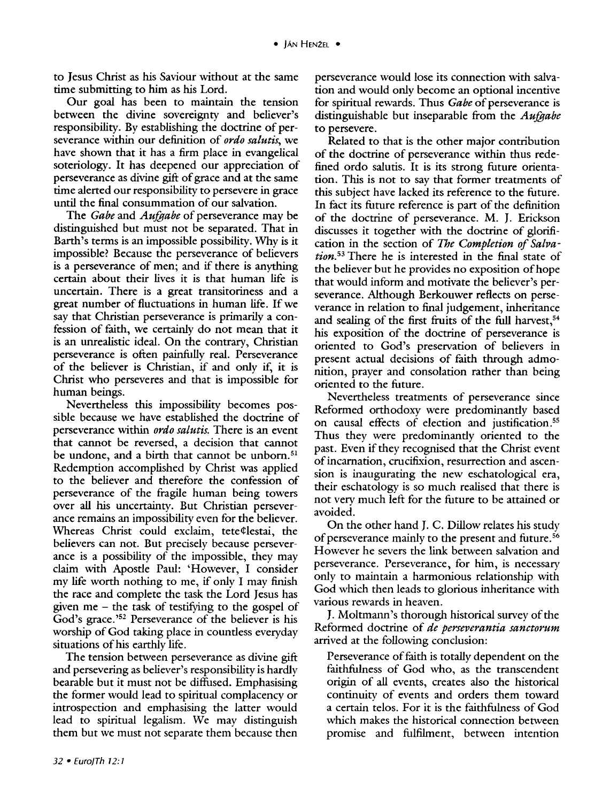to Jesus Christ as his Saviour without at the same time submitting to him as his Lord.

Our goal has been to maintain the tension between the divine sovereignty and believer's responsibility. By establishing the doctrine of perseverance within our definition of *ordo salutis,* we have shown that it has a firm place in evangelical soteriology. It has deepened our appreciation of perseverance as divine gift of grace and at the same time alerted our responsibility to persevere in grace until the final consummation of our salvation.

The *Gabe* and *Aufgabe* of perseverance may be distinguished but must not be separated. That in Earth's terms is an impossible possibility. Why is it impossible? Because the perseverance of believers is a perseverance of men; and if there is anything certain about their lives it is that human life is uncertain. There is a great transitoriness and a great number of fluctuations in human life. If we say that Christian perseverance is primarily a confession of faith, we certainly do not mean that it is an unrealistic ideal. On the contrary, Christian perseverance is often painfully real. Perseverance of the believer is Christian, if and only if, it is Christ who perseveres and that is impossible for human beings.

Nevertheless this impossibility becomes possible because we have established the doctrine of perseverance within *ordo salutis.* There is an event that cannot be reversed, a decision that cannot be undone, and a birth that cannot be unborn.<sup>51</sup> Redemption accomplished by Christ was applied to the believer and therefore the confession of perseverance of the fragile human being towers over all his uncertainty. But Christian perseverance remains an impossibility even for the believer. Whereas Christ could exclaim, tete¢lestai, the believers can not. But precisely because perseverance is a possibility of the impossible, they may claim with Apostle Paul: 'However, I consider my life worth nothing to me, if only I may finish the race and complete the task the Lord Jesus has given me  $-$  the task of testifying to the gospel of God's grace.<sup>'52</sup> Perseverance of the believer is his worship of God taking place in countless everyday situations of his earthly life.

The tension between perseverance as divine gift and persevering as believer's responsibility is hardly bearable but it must not be diffused. Emphasising the former would lead to spiritual complacency or introspection and emphasising the latter would lead to spiritual legalism. We may distinguish them but we must not separate them because then

perseverance would lose its connection with salvation and would only become an optional incentive for spiritual rewards. Thus *Gabe* of perseverance is distinguishable but inseparable from the *Aufgabe*  to persevere.

Related to that is the other major contribution of the doctrine of perseverance within thus redefined ordo salutis. It is its strong future orientation. This is not to say that former treatments of this subject have lacked its reference to the future. In fact its future reference is part of the definition of the doctrine of perseverance. M. *].* Erickson discusses it together with the doctrine of glorification in the section of *The Completion of Salvation.* 53 There he is interested in the final state of the believer but he provides no exposition of hope that would inform and motivate the believer's perseverance. Although Berkouwer reflects on perseverance in relation to final judgement, inheritance and sealing of the first fruits of the full harvest,<sup>54</sup> his exposition of the doctrine of perseverance is oriented to God's preservation of believers in present actual decisions of faith through admonition, prayer and consolation rather than being oriented to the future.

Nevertheless treatments of perseverance since Reformed orthodoxy were predominantly based on causal effects of election and justification.55 Thus they were predominantly oriented to the past. Even if they recognised that the Christ event of incarnation, crucifixion, resurrection and ascension is inaugurating the new eschatological era, their eschatology is so much realised that there is not very much left for the future to be attained or avoided.

On the other hand J. C. Dillow relates his study of perseverance mainly to the present and future. 56 However he severs the link between salvation and perseverance. Perseverance, for him, is necessary only to maintain a harmonious relationship with God which then leads to glorious inheritance with various rewards in heaven.

J. Moltmann's thorough historical survey of the Reformed doctrine of *de perseverantia sanctorum*  arrived at the following conclusion:

Perseverance of faith is totally dependent on the faithfulness of God who, as the transcendent origin of all events, creates also the historical continuity of events and orders them toward a certain telos. For it is the faithfulness of God which makes the historical connection between promise and fulfilment, between intention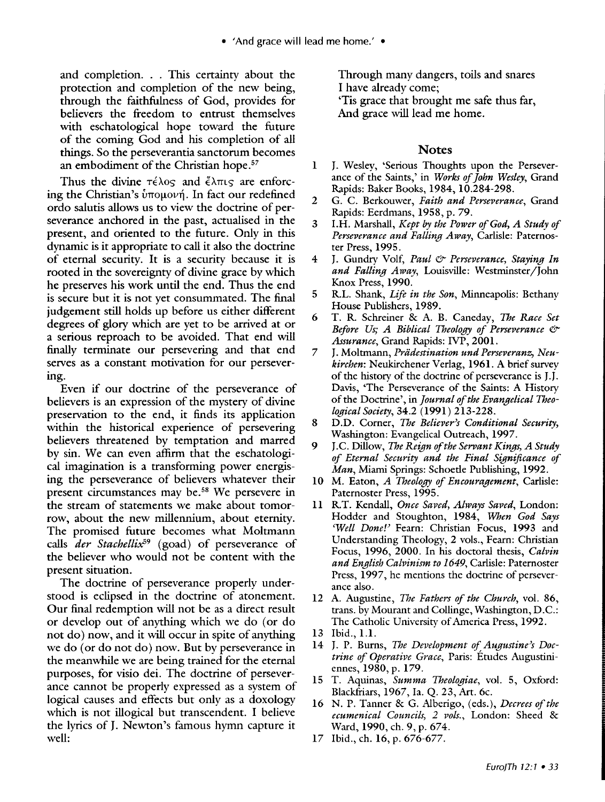and completion. . . This certainty about the protection and completion of the new being, through the faithfulness of God, provides for believers the freedom to entrust themselves with eschatological hope toward the future of the coming God and his completion of all things. So the perseverantia sanctorum becomes an embodiment of the Christian hope.<sup>57</sup>

Thus the divine  $\tau \in \lambda$ os and  $\tilde{\epsilon} \lambda \pi$ us are enforcing the Christian's  $\dot{v}$ πομονή. In fact our redefined ordo salutis allows us to view the doctrine of perseverance anchored in the past, actualised in the present, and oriented to the future. Only in this dynamic is it appropriate to call it also the doctrine of eternal security. It is a security because it is rooted in the sovereignty of divine grace by which he preserves his work until the end. Thus the end is secure but it is not yet consummated. The final judgement still holds up before us either different degrees of glory which are yet to be arrived at or a serious reproach to be avoided. That end will finally terminate our persevering and that end serves as a constant motivation for our persevering.

Even if our doctrine of the perseverance of believers is an expression of the mystery of divine preservation to the end, it finds its application within the historical experience of persevering believers threatened by temptation and marred by sin. We can even affirm that the eschatological imagination is a transforming power energising the perseverance of believers whatever their present circumstances may be. 58 We persevere in the stream of statements we make about tomorrow, about the new millennium, about eternity. The promised future becomes what Moltmann calls *der Stachellix*<sup>59</sup> (goad) of perseverance of the believer who would not be content with the present situation.

The doctrine of perseverance properly understood is eclipsed in the doctrine of atonement. Our final redemption will not be as a direct result or develop out of anything which we do (or do not do) now, and it will occur in spite of anything we do (or do not do) now. But by perseverance in the meanwhile we are being trained for the eternal purposes, for visio dei. The doctrine of perseverance cannot be properly expressed as a system of logical causes and effects but only as a doxology which is not illogical but transcendent. I believe the lyrics of J. Newton's famous hymn capture it well:

Through many dangers, toils and snares I have already come;

'Tis grace that brought me safe thus far, And grace will lead me home.

### **Notes**

- 1 J. Wesley, 'Serious Thoughts upon the Perseverance of the Saints,' in *Works of John Wesley,* Grand Rapids: Baker Books, 1984, 10.284-298.
- 2 G. C. Berkouwer, *Faith and Perseverance,* Grand Rapids: Eerdmans, 1958, p. 79.
- 3 I. H. Marshall, *Kept by the Power of God, A Study of Perseverance and Falling Away,* Carlisle: Paternoster Press, 1995.
- 4 J. Gundry Volf, *Paul & Perseverance*, *Staying In and Falling Away,* Louisville: Westminster/John Knox Press, 1990.
- 5 R.L. Shank, *Life in the Son,* Minneapolis: Bethany House Publishers, 1989.
- 6 T. R. Schreiner & A. B. Caneday, *The Race Set Before Us; A Biblical Theology of Perseverance* & *Assurance,* Grand Rapids: IVP, 2001.
- 7 J. Moltmann, *Priidestination undPerseveranz, Neukirchen:* Neukirchener Verlag, 1961. A brief survey of the history of the doctrine of perseverance is J. J. Davis, 'The Perseverance of the Saints: A History of the Doctrine', in *Journal of the Evangelical Theological Society,* 34.2 (1991) 213-228.
- 8 D.D. Corner, *The Believer)s Conditional Security,*  Washington: Evangelical Outreach, 1997.
- 9 J.C. Dillow, *The Reign of the Servant Kings, A Study of Eternal Security and the Final Significance of Man,* Miami Springs: Schoetle Publishing, 1992.
- 10 M. Eaton, *A Theology of Encouragement,* Carlisle: Paternoster Press, 1995.
- 11 R.T. Kendall, *Once Saved, Always Saved*, London: Hodder and Stoughton, 1984, *When God Says*  'Well Done!' Fearn: Christian Focus, 1993 and Understanding Theology, 2 vols., Fearn: Christian Focus, 1996, 2000. In his doctoral thesis, *Calvin and English Calvinism to 1649,* Carlisle: Paternoster Press, 1997, he mentions the doctrine of perseverance also.
- 12 A. Augustine, *The Fathers of the Church,* vol. 86, trans. by Mourant and Collinge, Washington, D.C.: The Catholic University of America Press, 1992.
- 13 Ibid., l.l.
- 14 J. P. Burns, *The Development of Augustine's Doctrine of Operative Grace,* Paris: Etudes Augustiniennes, 1980, p. 179.
- 15 T. Aquinas, *Summa Theologiae,* vol. 5, Oxford: Blackfriars, 1967, la. Q. 23, Art. 6c.
- 16 N. P. Tanner & G. Alberigo, (eds.), *Decrees of the ecumenical Councils, 2 vols.,* London: Sheed & Ward, 1990, eh. 9, p. 674.
- 17 Ibid., eh. 16, p. 676-677.